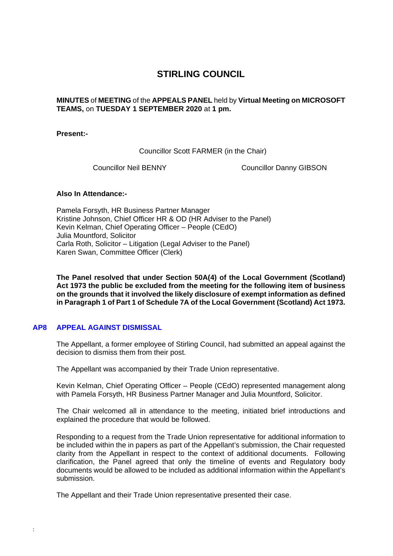## **STIRLING COUNCIL**

**MINUTES** of **MEETING** of the **APPEALS PANEL** held by **Virtual Meeting on MICROSOFT TEAMS,** on **TUESDAY 1 SEPTEMBER 2020** at **1 pm.**

**Present:-** 

Councillor Scott FARMER (in the Chair)

Councillor Neil BENNY Councillor Danny GIBSON

## **Also In Attendance:-**

Pamela Forsyth, HR Business Partner Manager Kristine Johnson, Chief Officer HR & OD (HR Adviser to the Panel) Kevin Kelman, Chief Operating Officer – People (CEdO) Julia Mountford, Solicitor Carla Roth, Solicitor – Litigation (Legal Adviser to the Panel) Karen Swan, Committee Officer (Clerk)

**The Panel resolved that under Section 50A(4) of the Local Government (Scotland) Act 1973 the public be excluded from the meeting for the following item of business on the grounds that it involved the likely disclosure of exempt information as defined in Paragraph 1 of Part 1 of Schedule 7A of the Local Government (Scotland) Act 1973.** 

## **AP8 [APPEAL AGAINST DISMISSAL](/forms/request.htm)**

:

The Appellant, a former employee of Stirling Council, had submitted an appeal against the decision to dismiss them from their post.

The Appellant was accompanied by their Trade Union representative.

Kevin Kelman, Chief Operating Officer – People (CEdO) represented management along with Pamela Forsyth, HR Business Partner Manager and Julia Mountford, Solicitor.

The Chair welcomed all in attendance to the meeting, initiated brief introductions and explained the procedure that would be followed.

Responding to a request from the Trade Union representative for additional information to be included within the in papers as part of the Appellant's submission, the Chair requested clarity from the Appellant in respect to the context of additional documents. Following clarification, the Panel agreed that only the timeline of events and Regulatory body documents would be allowed to be included as additional information within the Appellant's submission.

The Appellant and their Trade Union representative presented their case.